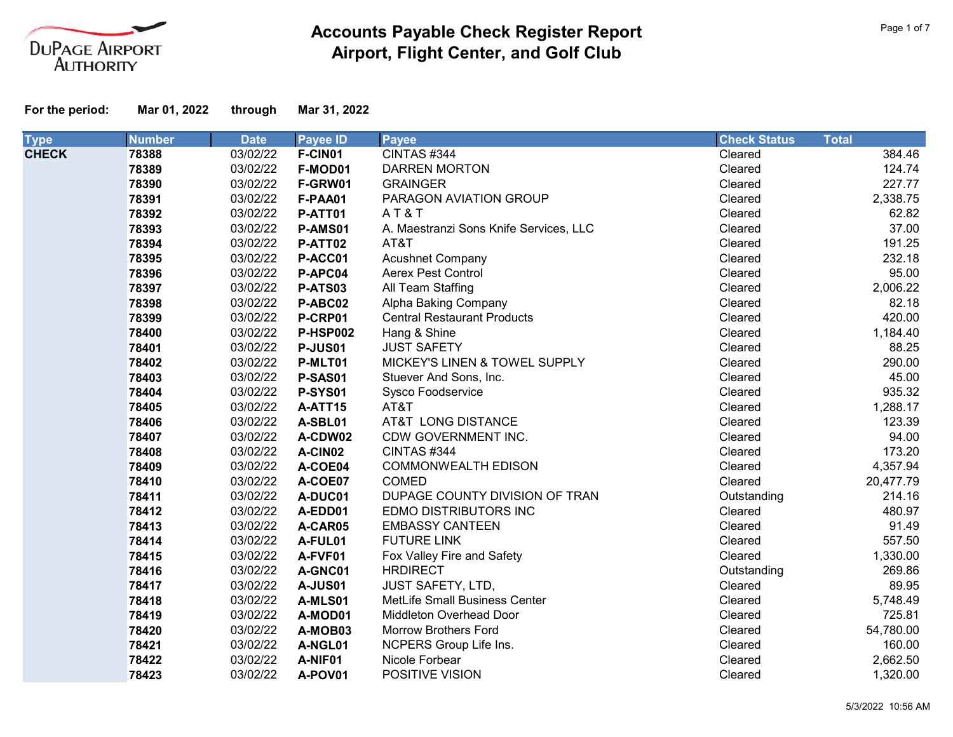

| <b>Type</b>  | <b>Number</b> | <b>Date</b> | <b>Payee ID</b> | <b>Payee</b>                           | <b>Check Status</b> | <b>Total</b> |
|--------------|---------------|-------------|-----------------|----------------------------------------|---------------------|--------------|
| <b>CHECK</b> | 78388         | 03/02/22    | F-CIN01         | CINTAS #344                            | Cleared             | 384.46       |
|              | 78389         | 03/02/22    | F-MOD01         | <b>DARREN MORTON</b>                   | Cleared             | 124.74       |
|              | 78390         | 03/02/22    | F-GRW01         | <b>GRAINGER</b>                        | Cleared             | 227.77       |
|              | 78391         | 03/02/22    | F-PAA01         | PARAGON AVIATION GROUP                 | Cleared             | 2,338.75     |
|              | 78392         | 03/02/22    | P-ATT01         | AT&T                                   | Cleared             | 62.82        |
|              | 78393         | 03/02/22    | P-AMS01         | A. Maestranzi Sons Knife Services, LLC | Cleared             | 37.00        |
|              | 78394         | 03/02/22    | P-ATT02         | AT&T                                   | Cleared             | 191.25       |
|              | 78395         | 03/02/22    | P-ACC01         | <b>Acushnet Company</b>                | Cleared             | 232.18       |
|              | 78396         | 03/02/22    | P-APC04         | Aerex Pest Control                     | Cleared             | 95.00        |
|              | 78397         | 03/02/22    | P-ATS03         | All Team Staffing                      | Cleared             | 2,006.22     |
|              | 78398         | 03/02/22    | P-ABC02         | Alpha Baking Company                   | Cleared             | 82.18        |
|              | 78399         | 03/02/22    | P-CRP01         | <b>Central Restaurant Products</b>     | Cleared             | 420.00       |
|              | 78400         | 03/02/22    | <b>P-HSP002</b> | Hang & Shine                           | Cleared             | 1,184.40     |
|              | 78401         | 03/02/22    | <b>P-JUS01</b>  | <b>JUST SAFETY</b>                     | Cleared             | 88.25        |
|              | 78402         | 03/02/22    | P-MLT01         | MICKEY'S LINEN & TOWEL SUPPLY          | Cleared             | 290.00       |
|              | 78403         | 03/02/22    | P-SAS01         | Stuever And Sons, Inc.                 | Cleared             | 45.00        |
|              | 78404         | 03/02/22    | <b>P-SYS01</b>  | Sysco Foodservice                      | Cleared             | 935.32       |
|              | 78405         | 03/02/22    | A-ATT15         | AT&T                                   | Cleared             | 1,288.17     |
|              | 78406         | 03/02/22    | A-SBL01         | AT&T LONG DISTANCE                     | Cleared             | 123.39       |
|              | 78407         | 03/02/22    | A-CDW02         | CDW GOVERNMENT INC.                    | Cleared             | 94.00        |
|              | 78408         | 03/02/22    | A-CIN02         | CINTAS#344                             | Cleared             | 173.20       |
|              | 78409         | 03/02/22    | A-COE04         | <b>COMMONWEALTH EDISON</b>             | Cleared             | 4,357.94     |
|              | 78410         | 03/02/22    | A-COE07         | <b>COMED</b>                           | Cleared             | 20,477.79    |
|              | 78411         | 03/02/22    | A-DUC01         | DUPAGE COUNTY DIVISION OF TRAN         | Outstanding         | 214.16       |
|              | 78412         | 03/02/22    | A-EDD01         | EDMO DISTRIBUTORS INC                  | Cleared             | 480.97       |
|              | 78413         | 03/02/22    | A-CAR05         | <b>EMBASSY CANTEEN</b>                 | Cleared             | 91.49        |
|              | 78414         | 03/02/22    | A-FUL01         | <b>FUTURE LINK</b>                     | Cleared             | 557.50       |
|              | 78415         | 03/02/22    | A-FVF01         | Fox Valley Fire and Safety             | Cleared             | 1,330.00     |
|              | 78416         | 03/02/22    | A-GNC01         | <b>HRDIRECT</b>                        | Outstanding         | 269.86       |
|              | 78417         | 03/02/22    | <b>A-JUS01</b>  | <b>JUST SAFETY, LTD,</b>               | Cleared             | 89.95        |
|              | 78418         | 03/02/22    | A-MLS01         | MetLife Small Business Center          | Cleared             | 5,748.49     |
|              | 78419         | 03/02/22    | A-MOD01         | <b>Middleton Overhead Door</b>         | Cleared             | 725.81       |
|              | 78420         | 03/02/22    | A-MOB03         | <b>Morrow Brothers Ford</b>            | Cleared             | 54,780.00    |
|              | 78421         | 03/02/22    | A-NGL01         | NCPERS Group Life Ins.                 | Cleared             | 160.00       |
|              | 78422         | 03/02/22    | A-NIF01         | Nicole Forbear                         | Cleared             | 2,662.50     |
|              | 78423         | 03/02/22    | A-POV01         | POSITIVE VISION                        | Cleared             | 1,320.00     |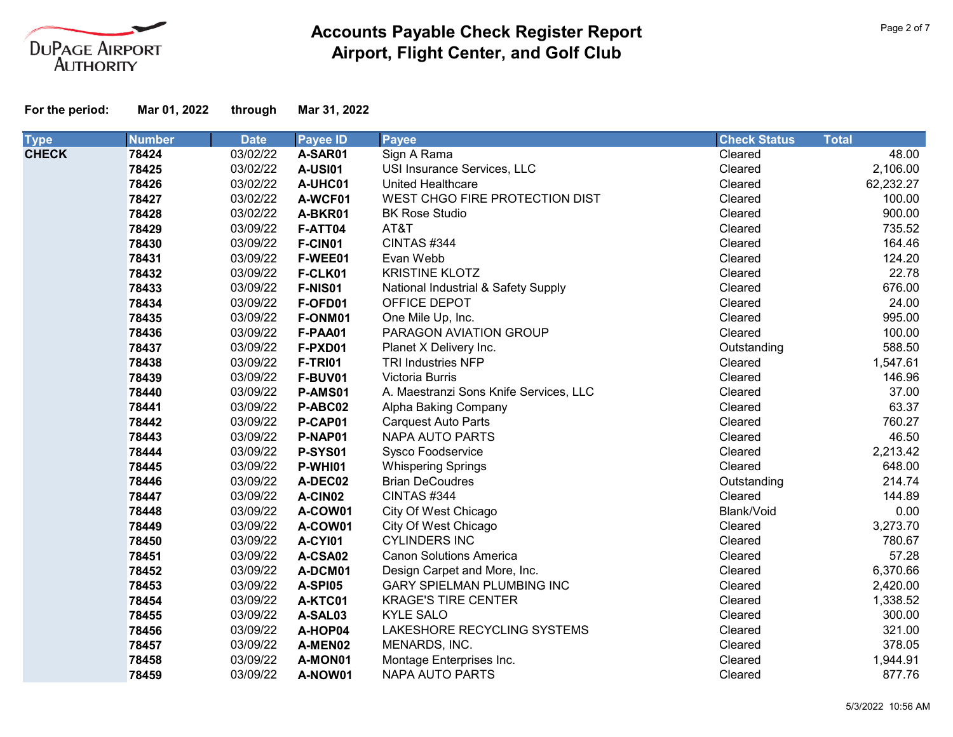

| <b>Type</b>  | <b>Number</b> | <b>Date</b> | <b>Payee ID</b> | <b>Payee</b>                           | <b>Check Status</b> | <b>Total</b> |
|--------------|---------------|-------------|-----------------|----------------------------------------|---------------------|--------------|
| <b>CHECK</b> | 78424         | 03/02/22    | A-SAR01         | Sign A Rama                            | Cleared             | 48.00        |
|              | 78425         | 03/02/22    | <b>A-USI01</b>  | USI Insurance Services, LLC            | Cleared             | 2,106.00     |
|              | 78426         | 03/02/22    | A-UHC01         | <b>United Healthcare</b>               | Cleared             | 62,232.27    |
|              | 78427         | 03/02/22    | A-WCF01         | WEST CHGO FIRE PROTECTION DIST         | Cleared             | 100.00       |
|              | 78428         | 03/02/22    | A-BKR01         | <b>BK Rose Studio</b>                  | Cleared             | 900.00       |
|              | 78429         | 03/09/22    | F-ATT04         | AT&T                                   | Cleared             | 735.52       |
|              | 78430         | 03/09/22    | F-CIN01         | CINTAS #344                            | Cleared             | 164.46       |
|              | 78431         | 03/09/22    | F-WEE01         | Evan Webb                              | Cleared             | 124.20       |
|              | 78432         | 03/09/22    | F-CLK01         | <b>KRISTINE KLOTZ</b>                  | Cleared             | 22.78        |
|              | 78433         | 03/09/22    | F-NIS01         | National Industrial & Safety Supply    | Cleared             | 676.00       |
|              | 78434         | 03/09/22    | F-OFD01         | OFFICE DEPOT                           | Cleared             | 24.00        |
|              | 78435         | 03/09/22    | F-ONM01         | One Mile Up, Inc.                      | Cleared             | 995.00       |
|              | 78436         | 03/09/22    | F-PAA01         | PARAGON AVIATION GROUP                 | Cleared             | 100.00       |
|              | 78437         | 03/09/22    | F-PXD01         | Planet X Delivery Inc.                 | Outstanding         | 588.50       |
|              | 78438         | 03/09/22    | <b>F-TRI01</b>  | <b>TRI Industries NFP</b>              | Cleared             | 1,547.61     |
|              | 78439         | 03/09/22    | F-BUV01         | Victoria Burris                        | Cleared             | 146.96       |
|              | 78440         | 03/09/22    | P-AMS01         | A. Maestranzi Sons Knife Services, LLC | Cleared             | 37.00        |
|              | 78441         | 03/09/22    | P-ABC02         | Alpha Baking Company                   | Cleared             | 63.37        |
|              | 78442         | 03/09/22    | P-CAP01         | <b>Carquest Auto Parts</b>             | Cleared             | 760.27       |
|              | 78443         | 03/09/22    | P-NAP01         | <b>NAPA AUTO PARTS</b>                 | Cleared             | 46.50        |
|              | 78444         | 03/09/22    | <b>P-SYS01</b>  | Sysco Foodservice                      | Cleared             | 2,213.42     |
|              | 78445         | 03/09/22    | P-WHI01         | <b>Whispering Springs</b>              | Cleared             | 648.00       |
|              | 78446         | 03/09/22    | A-DEC02         | <b>Brian DeCoudres</b>                 | Outstanding         | 214.74       |
|              | 78447         | 03/09/22    | A-CIN02         | CINTAS #344                            | Cleared             | 144.89       |
|              | 78448         | 03/09/22    | A-COW01         | City Of West Chicago                   | Blank/Void          | 0.00         |
|              | 78449         | 03/09/22    | A-COW01         | City Of West Chicago                   | Cleared             | 3,273.70     |
|              | 78450         | 03/09/22    | <b>A-CYI01</b>  | <b>CYLINDERS INC</b>                   | Cleared             | 780.67       |
|              | 78451         | 03/09/22    | A-CSA02         | <b>Canon Solutions America</b>         | Cleared             | 57.28        |
|              | 78452         | 03/09/22    | A-DCM01         | Design Carpet and More, Inc.           | Cleared             | 6,370.66     |
|              | 78453         | 03/09/22    | A-SPI05         | GARY SPIELMAN PLUMBING INC             | Cleared             | 2,420.00     |
|              | 78454         | 03/09/22    | A-KTC01         | <b>KRAGE'S TIRE CENTER</b>             | Cleared             | 1,338.52     |
|              | 78455         | 03/09/22    | A-SAL03         | <b>KYLE SALO</b>                       | Cleared             | 300.00       |
|              | 78456         | 03/09/22    | A-HOP04         | LAKESHORE RECYCLING SYSTEMS            | Cleared             | 321.00       |
|              | 78457         | 03/09/22    | A-MEN02         | MENARDS, INC.                          | Cleared             | 378.05       |
|              | 78458         | 03/09/22    | A-MON01         | Montage Enterprises Inc.               | Cleared             | 1,944.91     |
|              | 78459         | 03/09/22    | A-NOW01         | <b>NAPA AUTO PARTS</b>                 | Cleared             | 877.76       |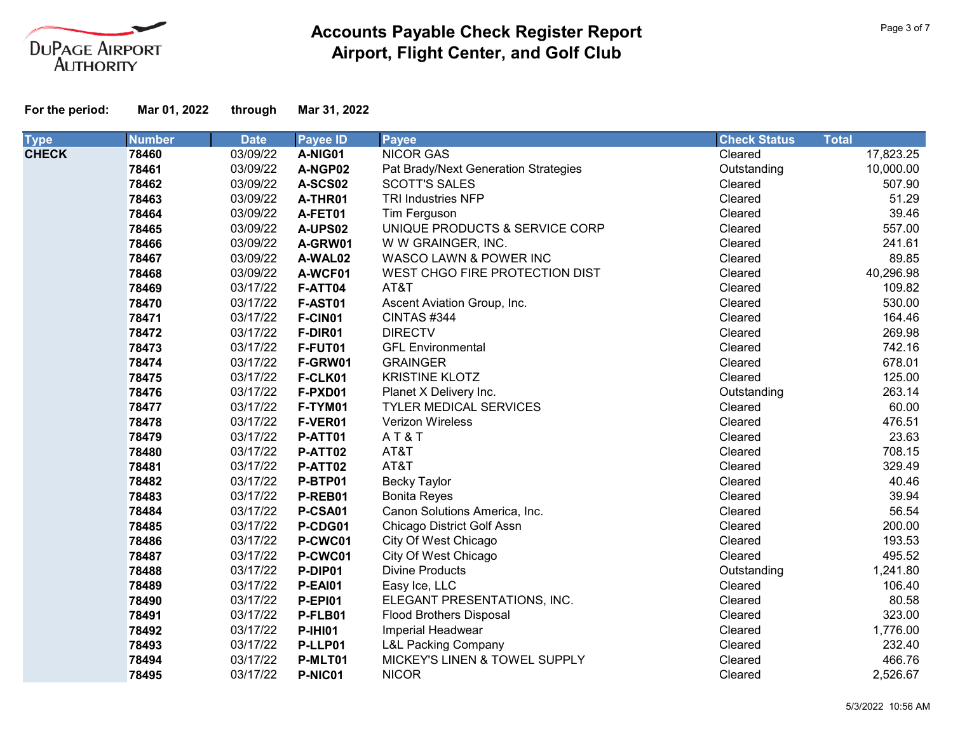

| <b>Type</b>  | <b>Number</b> | <b>Date</b> | <b>Payee ID</b> | <b>Payee</b>                         | <b>Check Status</b> | <b>Total</b> |
|--------------|---------------|-------------|-----------------|--------------------------------------|---------------------|--------------|
| <b>CHECK</b> | 78460         | 03/09/22    | A-NIG01         | <b>NICOR GAS</b>                     | Cleared             | 17,823.25    |
|              | 78461         | 03/09/22    | A-NGP02         | Pat Brady/Next Generation Strategies | Outstanding         | 10,000.00    |
|              | 78462         | 03/09/22    | A-SCS02         | <b>SCOTT'S SALES</b>                 | Cleared             | 507.90       |
|              | 78463         | 03/09/22    | A-THR01         | <b>TRI Industries NFP</b>            | Cleared             | 51.29        |
|              | 78464         | 03/09/22    | A-FET01         | Tim Ferguson                         | Cleared             | 39.46        |
|              | 78465         | 03/09/22    | A-UPS02         | UNIQUE PRODUCTS & SERVICE CORP       | Cleared             | 557.00       |
|              | 78466         | 03/09/22    | A-GRW01         | W W GRAINGER, INC.                   | Cleared             | 241.61       |
|              | 78467         | 03/09/22    | A-WAL02         | WASCO LAWN & POWER INC               | Cleared             | 89.85        |
|              | 78468         | 03/09/22    | A-WCF01         | WEST CHGO FIRE PROTECTION DIST       | Cleared             | 40,296.98    |
|              | 78469         | 03/17/22    | F-ATT04         | AT&T                                 | Cleared             | 109.82       |
|              | 78470         | 03/17/22    | <b>F-AST01</b>  | Ascent Aviation Group, Inc.          | Cleared             | 530.00       |
|              | 78471         | 03/17/22    | F-CIN01         | CINTAS#344                           | Cleared             | 164.46       |
|              | 78472         | 03/17/22    | F-DIR01         | <b>DIRECTV</b>                       | Cleared             | 269.98       |
|              | 78473         | 03/17/22    | F-FUT01         | <b>GFL Environmental</b>             | Cleared             | 742.16       |
|              | 78474         | 03/17/22    | F-GRW01         | <b>GRAINGER</b>                      | Cleared             | 678.01       |
|              | 78475         | 03/17/22    | F-CLK01         | <b>KRISTINE KLOTZ</b>                | Cleared             | 125.00       |
|              | 78476         | 03/17/22    | F-PXD01         | Planet X Delivery Inc.               | Outstanding         | 263.14       |
|              | 78477         | 03/17/22    | F-TYM01         | <b>TYLER MEDICAL SERVICES</b>        | Cleared             | 60.00        |
|              | 78478         | 03/17/22    | F-VER01         | Verizon Wireless                     | Cleared             | 476.51       |
|              | 78479         | 03/17/22    | P-ATT01         | AT&T                                 | Cleared             | 23.63        |
|              | 78480         | 03/17/22    | P-ATT02         | AT&T                                 | Cleared             | 708.15       |
|              | 78481         | 03/17/22    | P-ATT02         | AT&T                                 | Cleared             | 329.49       |
|              | 78482         | 03/17/22    | P-BTP01         | <b>Becky Taylor</b>                  | Cleared             | 40.46        |
|              | 78483         | 03/17/22    | P-REB01         | <b>Bonita Reyes</b>                  | Cleared             | 39.94        |
|              | 78484         | 03/17/22    | P-CSA01         | Canon Solutions America, Inc.        | Cleared             | 56.54        |
|              | 78485         | 03/17/22    | P-CDG01         | Chicago District Golf Assn           | Cleared             | 200.00       |
|              | 78486         | 03/17/22    | P-CWC01         | City Of West Chicago                 | Cleared             | 193.53       |
|              | 78487         | 03/17/22    | P-CWC01         | City Of West Chicago                 | Cleared             | 495.52       |
|              | 78488         | 03/17/22    | P-DIP01         | <b>Divine Products</b>               | Outstanding         | 1,241.80     |
|              | 78489         | 03/17/22    | <b>P-EAI01</b>  | Easy Ice, LLC                        | Cleared             | 106.40       |
|              | 78490         | 03/17/22    | <b>P-EPI01</b>  | ELEGANT PRESENTATIONS, INC.          | Cleared             | 80.58        |
|              | 78491         | 03/17/22    | P-FLB01         | <b>Flood Brothers Disposal</b>       | Cleared             | 323.00       |
|              | 78492         | 03/17/22    | <b>P-IHI01</b>  | Imperial Headwear                    | Cleared             | 1,776.00     |
|              | 78493         | 03/17/22    | P-LLP01         | <b>L&amp;L Packing Company</b>       | Cleared             | 232.40       |
|              | 78494         | 03/17/22    | P-MLT01         | MICKEY'S LINEN & TOWEL SUPPLY        | Cleared             | 466.76       |
|              | 78495         | 03/17/22    | P-NIC01         | <b>NICOR</b>                         | Cleared             | 2,526.67     |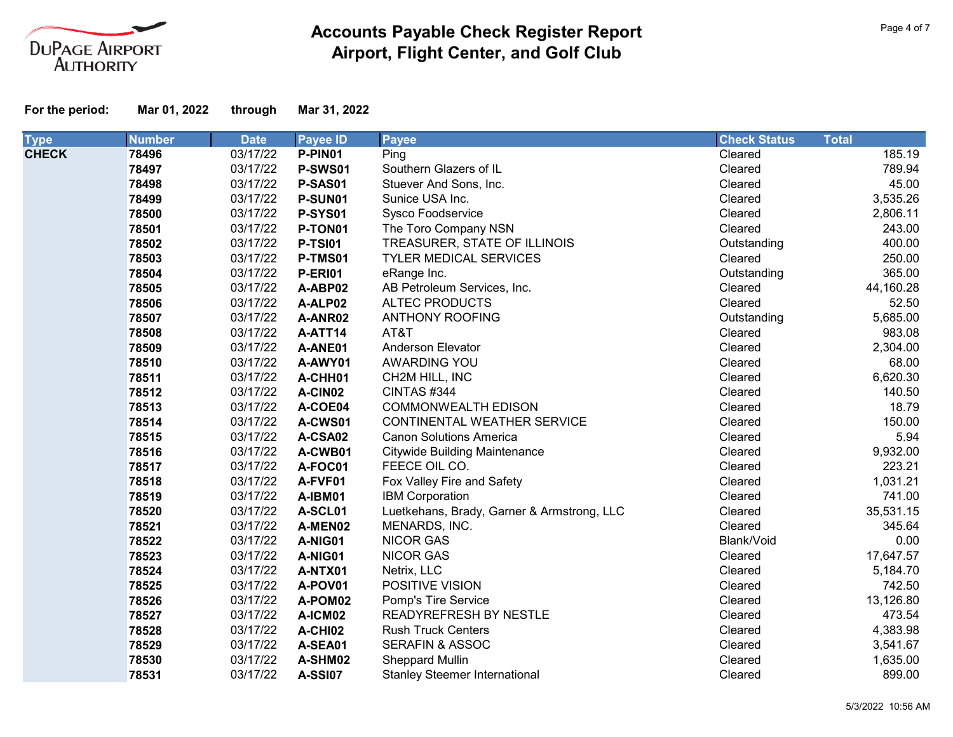

| <b>Type</b>  | <b>Number</b> | <b>Date</b> | <b>Payee ID</b> | <b>Payee</b>                               | <b>Check Status</b> | <b>Total</b> |
|--------------|---------------|-------------|-----------------|--------------------------------------------|---------------------|--------------|
| <b>CHECK</b> | 78496         | 03/17/22    | P-PIN01         | Ping                                       | Cleared             | 185.19       |
|              | 78497         | 03/17/22    | P-SWS01         | Southern Glazers of IL                     | Cleared             | 789.94       |
|              | 78498         | 03/17/22    | P-SAS01         | Stuever And Sons, Inc.                     | Cleared             | 45.00        |
|              | 78499         | 03/17/22    | P-SUN01         | Sunice USA Inc.                            | Cleared             | 3,535.26     |
|              | 78500         | 03/17/22    | <b>P-SYS01</b>  | <b>Sysco Foodservice</b>                   | Cleared             | 2,806.11     |
|              | 78501         | 03/17/22    | P-TON01         | The Toro Company NSN                       | Cleared             | 243.00       |
|              | 78502         | 03/17/22    | <b>P-TSI01</b>  | TREASURER, STATE OF ILLINOIS               | Outstanding         | 400.00       |
|              | 78503         | 03/17/22    | P-TMS01         | TYLER MEDICAL SERVICES                     | Cleared             | 250.00       |
|              | 78504         | 03/17/22    | <b>P-ERI01</b>  | eRange Inc.                                | Outstanding         | 365.00       |
|              | 78505         | 03/17/22    | A-ABP02         | AB Petroleum Services, Inc.                | Cleared             | 44,160.28    |
|              | 78506         | 03/17/22    | A-ALP02         | <b>ALTEC PRODUCTS</b>                      | Cleared             | 52.50        |
|              | 78507         | 03/17/22    | A-ANR02         | <b>ANTHONY ROOFING</b>                     | Outstanding         | 5,685.00     |
|              | 78508         | 03/17/22    | A-ATT14         | AT&T                                       | Cleared             | 983.08       |
|              | 78509         | 03/17/22    | A-ANE01         | Anderson Elevator                          | Cleared             | 2,304.00     |
|              | 78510         | 03/17/22    | A-AWY01         | AWARDING YOU                               | Cleared             | 68.00        |
|              | 78511         | 03/17/22    | A-CHH01         | CH2M HILL, INC                             | Cleared             | 6,620.30     |
|              | 78512         | 03/17/22    | A-CIN02         | CINTAS#344                                 | Cleared             | 140.50       |
|              | 78513         | 03/17/22    | A-COE04         | <b>COMMONWEALTH EDISON</b>                 | Cleared             | 18.79        |
|              | 78514         | 03/17/22    | A-CWS01         | CONTINENTAL WEATHER SERVICE                | Cleared             | 150.00       |
|              | 78515         | 03/17/22    | A-CSA02         | <b>Canon Solutions America</b>             | Cleared             | 5.94         |
|              | 78516         | 03/17/22    | A-CWB01         | <b>Citywide Building Maintenance</b>       | Cleared             | 9,932.00     |
|              | 78517         | 03/17/22    | A-FOC01         | FEECE OIL CO.                              | Cleared             | 223.21       |
|              | 78518         | 03/17/22    | A-FVF01         | Fox Valley Fire and Safety                 | Cleared             | 1,031.21     |
|              | 78519         | 03/17/22    | A-IBM01         | <b>IBM Corporation</b>                     | Cleared             | 741.00       |
|              | 78520         | 03/17/22    | A-SCL01         | Luetkehans, Brady, Garner & Armstrong, LLC | Cleared             | 35,531.15    |
|              | 78521         | 03/17/22    | A-MEN02         | MENARDS, INC.                              | Cleared             | 345.64       |
|              | 78522         | 03/17/22    | A-NIG01         | <b>NICOR GAS</b>                           | Blank/Void          | 0.00         |
|              | 78523         | 03/17/22    | A-NIG01         | <b>NICOR GAS</b>                           | Cleared             | 17,647.57    |
|              | 78524         | 03/17/22    | A-NTX01         | Netrix, LLC                                | Cleared             | 5,184.70     |
|              | 78525         | 03/17/22    | A-POV01         | POSITIVE VISION                            | Cleared             | 742.50       |
|              | 78526         | 03/17/22    | A-POM02         | Pomp's Tire Service                        | Cleared             | 13,126.80    |
|              | 78527         | 03/17/22    | A-ICM02         | READYREFRESH BY NESTLE                     | Cleared             | 473.54       |
|              | 78528         | 03/17/22    | A-CHI02         | <b>Rush Truck Centers</b>                  | Cleared             | 4,383.98     |
|              | 78529         | 03/17/22    | A-SEA01         | <b>SERAFIN &amp; ASSOC</b>                 | Cleared             | 3,541.67     |
|              | 78530         | 03/17/22    | A-SHM02         | Sheppard Mullin                            | Cleared             | 1,635.00     |
|              | 78531         | 03/17/22    | <b>A-SSI07</b>  | <b>Stanley Steemer International</b>       | Cleared             | 899.00       |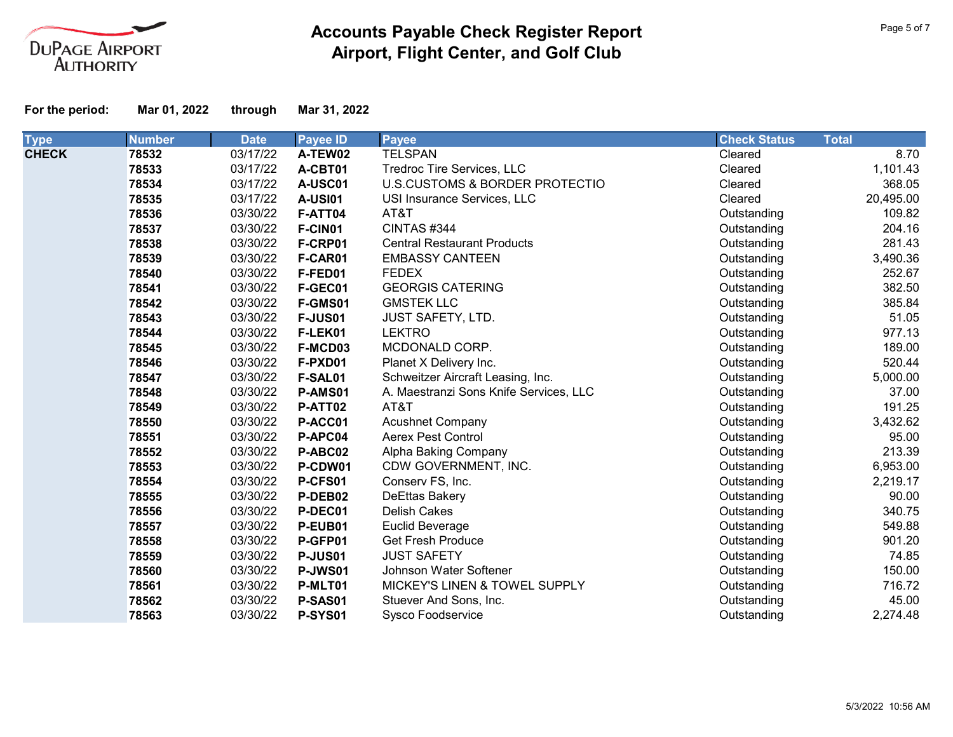

| <b>Type</b>  | <b>Number</b> | <b>Date</b> | <b>Payee ID</b> | <b>Payee</b>                           | <b>Check Status</b> | <b>Total</b> |
|--------------|---------------|-------------|-----------------|----------------------------------------|---------------------|--------------|
| <b>CHECK</b> | 78532         | 03/17/22    | A-TEW02         | <b>TELSPAN</b>                         | Cleared             | 8.70         |
|              | 78533         | 03/17/22    | A-CBT01         | Tredroc Tire Services, LLC             | Cleared             | 1,101.43     |
|              | 78534         | 03/17/22    | A-USC01         | U.S.CUSTOMS & BORDER PROTECTIO         | Cleared             | 368.05       |
|              | 78535         | 03/17/22    | <b>A-USI01</b>  | USI Insurance Services, LLC            | Cleared             | 20,495.00    |
|              | 78536         | 03/30/22    | F-ATT04         | AT&T                                   | Outstanding         | 109.82       |
|              | 78537         | 03/30/22    | F-CIN01         | CINTAS #344                            | Outstanding         | 204.16       |
|              | 78538         | 03/30/22    | F-CRP01         | <b>Central Restaurant Products</b>     | Outstanding         | 281.43       |
|              | 78539         | 03/30/22    | F-CAR01         | <b>EMBASSY CANTEEN</b>                 | Outstanding         | 3,490.36     |
|              | 78540         | 03/30/22    | F-FED01         | <b>FEDEX</b>                           | Outstanding         | 252.67       |
|              | 78541         | 03/30/22    | F-GEC01         | <b>GEORGIS CATERING</b>                | Outstanding         | 382.50       |
|              | 78542         | 03/30/22    | F-GMS01         | <b>GMSTEK LLC</b>                      | Outstanding         | 385.84       |
|              | 78543         | 03/30/22    | <b>F-JUS01</b>  | <b>JUST SAFETY, LTD.</b>               | Outstanding         | 51.05        |
|              | 78544         | 03/30/22    | F-LEK01         | <b>LEKTRO</b>                          | Outstanding         | 977.13       |
|              | 78545         | 03/30/22    | F-MCD03         | MCDONALD CORP.                         | Outstanding         | 189.00       |
|              | 78546         | 03/30/22    | F-PXD01         | Planet X Delivery Inc.                 | Outstanding         | 520.44       |
|              | 78547         | 03/30/22    | F-SAL01         | Schweitzer Aircraft Leasing, Inc.      | Outstanding         | 5,000.00     |
|              | 78548         | 03/30/22    | P-AMS01         | A. Maestranzi Sons Knife Services, LLC | Outstanding         | 37.00        |
|              | 78549         | 03/30/22    | P-ATT02         | AT&T                                   | Outstanding         | 191.25       |
|              | 78550         | 03/30/22    | P-ACC01         | <b>Acushnet Company</b>                | Outstanding         | 3,432.62     |
|              | 78551         | 03/30/22    | P-APC04         | <b>Aerex Pest Control</b>              | Outstanding         | 95.00        |
|              | 78552         | 03/30/22    | P-ABC02         | Alpha Baking Company                   | Outstanding         | 213.39       |
|              | 78553         | 03/30/22    | P-CDW01         | CDW GOVERNMENT, INC.                   | Outstanding         | 6,953.00     |
|              | 78554         | 03/30/22    | P-CFS01         | Conserv FS, Inc.                       | Outstanding         | 2,219.17     |
|              | 78555         | 03/30/22    | P-DEB02         | DeEttas Bakery                         | Outstanding         | 90.00        |
|              | 78556         | 03/30/22    | P-DEC01         | <b>Delish Cakes</b>                    | Outstanding         | 340.75       |
|              | 78557         | 03/30/22    | P-EUB01         | Euclid Beverage                        | Outstanding         | 549.88       |
|              | 78558         | 03/30/22    | P-GFP01         | <b>Get Fresh Produce</b>               | Outstanding         | 901.20       |
|              | 78559         | 03/30/22    | <b>P-JUS01</b>  | <b>JUST SAFETY</b>                     | Outstanding         | 74.85        |
|              | 78560         | 03/30/22    | <b>P-JWS01</b>  | Johnson Water Softener                 | Outstanding         | 150.00       |
|              | 78561         | 03/30/22    | P-MLT01         | MICKEY'S LINEN & TOWEL SUPPLY          | Outstanding         | 716.72       |
|              | 78562         | 03/30/22    | P-SAS01         | Stuever And Sons, Inc.                 | Outstanding         | 45.00        |
|              | 78563         | 03/30/22    | <b>P-SYS01</b>  | Sysco Foodservice                      | Outstanding         | 2,274.48     |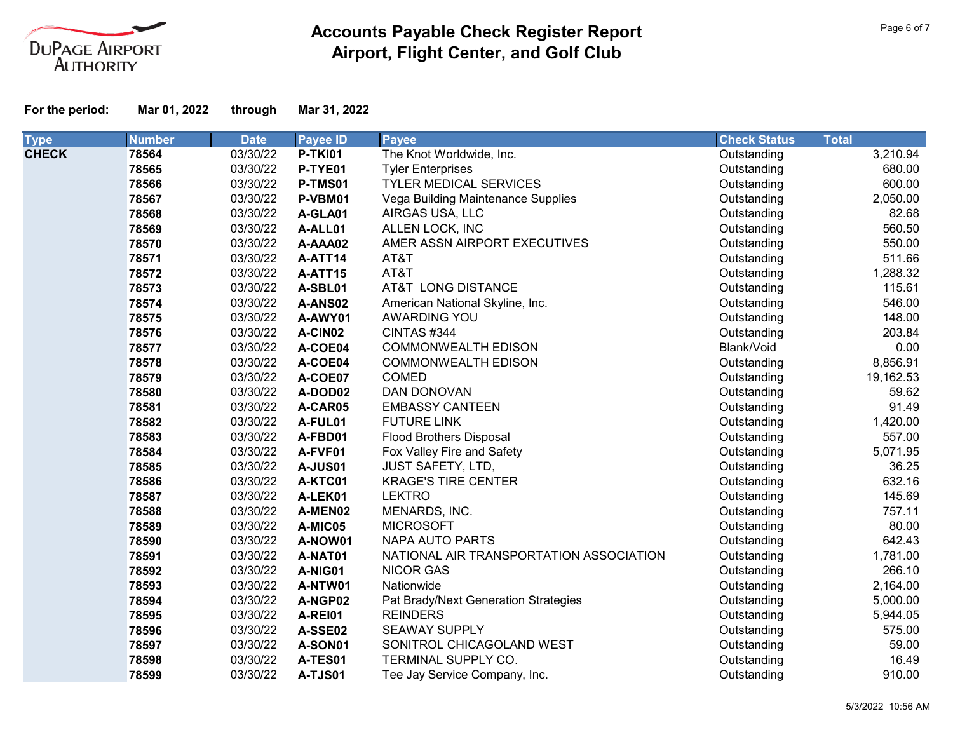

| <b>Type</b>  | <b>Number</b> | <b>Date</b> | <b>Payee ID</b> | <b>Payee</b>                            | <b>Check Status</b> | <b>Total</b> |           |
|--------------|---------------|-------------|-----------------|-----------------------------------------|---------------------|--------------|-----------|
| <b>CHECK</b> | 78564         | 03/30/22    | <b>P-TKI01</b>  | The Knot Worldwide, Inc.                | Outstanding         |              | 3,210.94  |
|              | 78565         | 03/30/22    | P-TYE01         | <b>Tyler Enterprises</b>                | Outstanding         |              | 680.00    |
|              | 78566         | 03/30/22    | P-TMS01         | <b>TYLER MEDICAL SERVICES</b>           | Outstanding         |              | 600.00    |
|              | 78567         | 03/30/22    | P-VBM01         | Vega Building Maintenance Supplies      | Outstanding         |              | 2,050.00  |
|              | 78568         | 03/30/22    | A-GLA01         | AIRGAS USA, LLC                         | Outstanding         |              | 82.68     |
|              | 78569         | 03/30/22    | A-ALL01         | ALLEN LOCK, INC                         | Outstanding         |              | 560.50    |
|              | 78570         | 03/30/22    | A-AAA02         | AMER ASSN AIRPORT EXECUTIVES            | Outstanding         |              | 550.00    |
|              | 78571         | 03/30/22    | A-ATT14         | AT&T                                    | Outstanding         |              | 511.66    |
|              | 78572         | 03/30/22    | A-ATT15         | AT&T                                    | Outstanding         |              | 1,288.32  |
|              | 78573         | 03/30/22    | A-SBL01         | AT&T LONG DISTANCE                      | Outstanding         |              | 115.61    |
|              | 78574         | 03/30/22    | A-ANS02         | American National Skyline, Inc.         | Outstanding         |              | 546.00    |
|              | 78575         | 03/30/22    | A-AWY01         | AWARDING YOU                            | Outstanding         |              | 148.00    |
|              | 78576         | 03/30/22    | A-CIN02         | CINTAS #344                             | Outstanding         |              | 203.84    |
|              | 78577         | 03/30/22    | A-COE04         | <b>COMMONWEALTH EDISON</b>              | Blank/Void          |              | 0.00      |
|              | 78578         | 03/30/22    | A-COE04         | <b>COMMONWEALTH EDISON</b>              | Outstanding         |              | 8,856.91  |
|              | 78579         | 03/30/22    | A-COE07         | <b>COMED</b>                            | Outstanding         |              | 19,162.53 |
|              | 78580         | 03/30/22    | A-DOD02         | DAN DONOVAN                             | Outstanding         |              | 59.62     |
|              | 78581         | 03/30/22    | A-CAR05         | <b>EMBASSY CANTEEN</b>                  | Outstanding         |              | 91.49     |
|              | 78582         | 03/30/22    | A-FUL01         | <b>FUTURE LINK</b>                      | Outstanding         |              | 1,420.00  |
|              | 78583         | 03/30/22    | A-FBD01         | <b>Flood Brothers Disposal</b>          | Outstanding         |              | 557.00    |
|              | 78584         | 03/30/22    | A-FVF01         | Fox Valley Fire and Safety              | Outstanding         |              | 5,071.95  |
|              | 78585         | 03/30/22    | <b>A-JUS01</b>  | <b>JUST SAFETY, LTD,</b>                | Outstanding         |              | 36.25     |
|              | 78586         | 03/30/22    | A-KTC01         | <b>KRAGE'S TIRE CENTER</b>              | Outstanding         |              | 632.16    |
|              | 78587         | 03/30/22    | A-LEK01         | <b>LEKTRO</b>                           | Outstanding         |              | 145.69    |
|              | 78588         | 03/30/22    | A-MEN02         | MENARDS, INC.                           | Outstanding         |              | 757.11    |
|              | 78589         | 03/30/22    | A-MIC05         | <b>MICROSOFT</b>                        | Outstanding         |              | 80.00     |
|              | 78590         | 03/30/22    | A-NOW01         | <b>NAPA AUTO PARTS</b>                  | Outstanding         |              | 642.43    |
|              | 78591         | 03/30/22    | A-NAT01         | NATIONAL AIR TRANSPORTATION ASSOCIATION | Outstanding         |              | 1,781.00  |
|              | 78592         | 03/30/22    | A-NIG01         | <b>NICOR GAS</b>                        | Outstanding         |              | 266.10    |
|              | 78593         | 03/30/22    | A-NTW01         | Nationwide                              | Outstanding         |              | 2,164.00  |
|              | 78594         | 03/30/22    | A-NGP02         | Pat Brady/Next Generation Strategies    | Outstanding         |              | 5,000.00  |
|              | 78595         | 03/30/22    | A-REI01         | <b>REINDERS</b>                         | Outstanding         |              | 5,944.05  |
|              | 78596         | 03/30/22    | A-SSE02         | <b>SEAWAY SUPPLY</b>                    | Outstanding         |              | 575.00    |
|              | 78597         | 03/30/22    | A-SON01         | SONITROL CHICAGOLAND WEST               | Outstanding         |              | 59.00     |
|              | 78598         | 03/30/22    | A-TES01         | TERMINAL SUPPLY CO.                     | Outstanding         |              | 16.49     |
|              | 78599         | 03/30/22    | <b>A-TJS01</b>  | Tee Jay Service Company, Inc.           | Outstanding         |              | 910.00    |